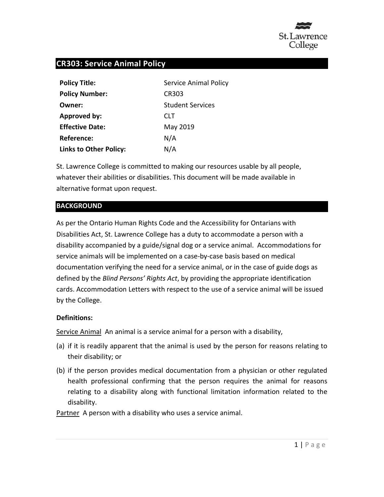

# **CR303: Service Animal Policy**

| <b>Policy Title:</b>          | <b>Service Animal Policy</b> |
|-------------------------------|------------------------------|
| <b>Policy Number:</b>         | <b>CR303</b>                 |
| Owner:                        | <b>Student Services</b>      |
| <b>Approved by:</b>           | <b>CLT</b>                   |
| <b>Effective Date:</b>        | May 2019                     |
| Reference:                    | N/A                          |
| <b>Links to Other Policy:</b> | N/A                          |

St. Lawrence College is committed to making our resources usable by all people, whatever their abilities or disabilities. This document will be made available in alternative format upon request.

#### **BACKGROUND**

As per the Ontario Human Rights Code and the Accessibility for Ontarians with Disabilities Act, St. Lawrence College has a duty to accommodate a person with a disability accompanied by a guide/signal dog or a service animal. Accommodations for service animals will be implemented on a case-by-case basis based on medical documentation verifying the need for a service animal, or in the case of guide dogs as defined by the *Blind Persons' Rights Act*, by providing the appropriate identification cards. Accommodation Letters with respect to the use of a service animal will be issued by the College.

#### **Definitions:**

Service AnimalAn animal is a service animal for a person with a disability,

- (a) if it is readily apparent that the animal is used by the person for reasons relating to their disability; or
- (b) if the person provides medical documentation from a physician or other regulated health professional confirming that the person requires the animal for reasons relating to a disability along with functional limitation information related to the disability.

Partner A person with a disability who uses a service animal.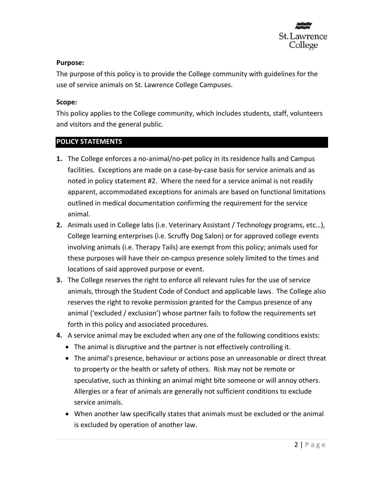

### **Purpose:**

The purpose of this policy is to provide the College community with guidelines for the use of service animals on St. Lawrence College Campuses.

## **Scope:**

This policy applies to the College community, which includes students, staff, volunteers and visitors and the general public.

## **POLICY STATEMENTS**

- **1.** The College enforces a no-animal/no-pet policy in its residence halls and Campus facilities. Exceptions are made on a case-by-case basis for service animals and as noted in policy statement #2. Where the need for a service animal is not readily apparent, accommodated exceptions for animals are based on functional limitations outlined in medical documentation confirming the requirement for the service animal.
- **2.** Animals used in College labs (i.e. Veterinary Assistant / Technology programs, etc…), College learning enterprises (i.e. Scruffy Dog Salon) or for approved college events involving animals (i.e. Therapy Tails) are exempt from this policy; animals used for these purposes will have their on-campus presence solely limited to the times and locations of said approved purpose or event.
- **3.** The College reserves the right to enforce all relevant rules for the use of service animals, through the Student Code of Conduct and applicable laws. The College also reserves the right to revoke permission granted for the Campus presence of any animal ('excluded / exclusion') whose partner fails to follow the requirements set forth in this policy and associated procedures.
- **4.** A service animal may be excluded when any one of the following conditions exists:
	- The animal is disruptive and the partner is not effectively controlling it.
	- The animal's presence, behaviour or actions pose an unreasonable or direct threat to property or the health or safety of others. Risk may not be remote or speculative, such as thinking an animal might bite someone or will annoy others. Allergies or a fear of animals are generally not sufficient conditions to exclude service animals.
	- When another law specifically states that animals must be excluded or the animal is excluded by operation of another law.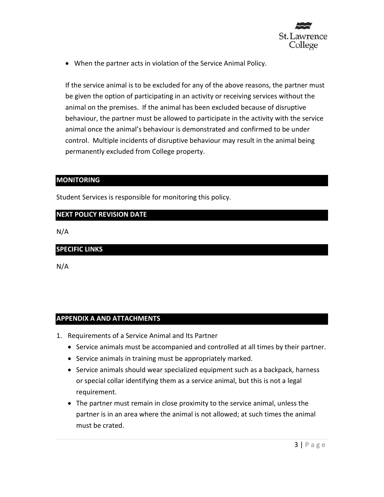

• When the partner acts in violation of the Service Animal Policy.

If the service animal is to be excluded for any of the above reasons, the partner must be given the option of participating in an activity or receiving services without the animal on the premises. If the animal has been excluded because of disruptive behaviour, the partner must be allowed to participate in the activity with the service animal once the animal's behaviour is demonstrated and confirmed to be under control. Multiple incidents of disruptive behaviour may result in the animal being permanently excluded from College property.

#### **MONITORING**

Student Services is responsible for monitoring this policy.

## **NEXT POLICY REVISION DATE**

N/A

#### **SPECIFIC LINKS**

N/A

## **APPENDIX A AND ATTACHMENTS**

- 1. Requirements of a Service Animal and Its Partner
	- Service animals must be accompanied and controlled at all times by their partner.
	- Service animals in training must be appropriately marked.
	- Service animals should wear specialized equipment such as a backpack, harness or special collar identifying them as a service animal, but this is not a legal requirement.
	- The partner must remain in close proximity to the service animal, unless the partner is in an area where the animal is not allowed; at such times the animal must be crated.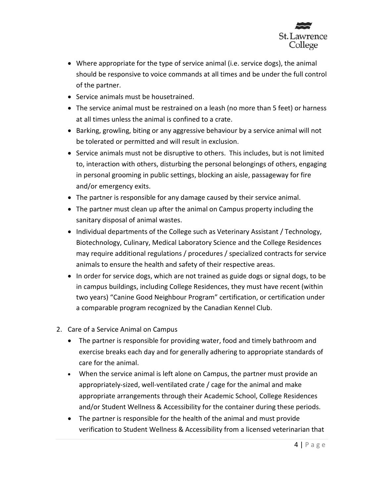

- Where appropriate for the type of service animal (i.e. service dogs), the animal should be responsive to voice commands at all times and be under the full control of the partner.
- Service animals must be housetrained.
- The service animal must be restrained on a leash (no more than 5 feet) or harness at all times unless the animal is confined to a crate.
- Barking, growling, biting or any aggressive behaviour by a service animal will not be tolerated or permitted and will result in exclusion.
- Service animals must not be disruptive to others. This includes, but is not limited to, interaction with others, disturbing the personal belongings of others, engaging in personal grooming in public settings, blocking an aisle, passageway for fire and/or emergency exits.
- The partner is responsible for any damage caused by their service animal.
- The partner must clean up after the animal on Campus property including the sanitary disposal of animal wastes.
- Individual departments of the College such as Veterinary Assistant / Technology, Biotechnology, Culinary, Medical Laboratory Science and the College Residences may require additional regulations / procedures / specialized contracts for service animals to ensure the health and safety of their respective areas.
- In order for service dogs, which are not trained as guide dogs or signal dogs, to be in campus buildings, including College Residences, they must have recent (within two years) "Canine Good Neighbour Program" certification, or certification under a comparable program recognized by the Canadian Kennel Club.
- 2. Care of a Service Animal on Campus
	- The partner is responsible for providing water, food and timely bathroom and exercise breaks each day and for generally adhering to appropriate standards of care for the animal.
	- When the service animal is left alone on Campus, the partner must provide an appropriately-sized, well-ventilated crate / cage for the animal and make appropriate arrangements through their Academic School, College Residences and/or Student Wellness & Accessibility for the container during these periods.
	- The partner is responsible for the health of the animal and must provide verification to Student Wellness & Accessibility from a licensed veterinarian that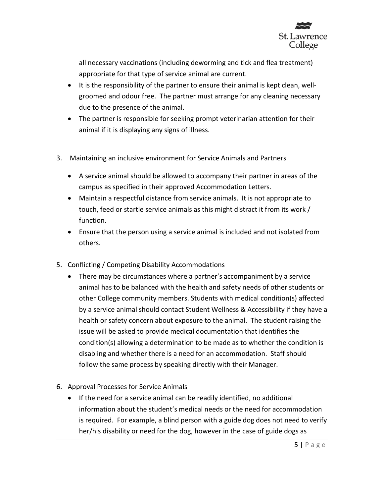

all necessary vaccinations (including deworming and tick and flea treatment) appropriate for that type of service animal are current.

- It is the responsibility of the partner to ensure their animal is kept clean, wellgroomed and odour free. The partner must arrange for any cleaning necessary due to the presence of the animal.
- The partner is responsible for seeking prompt veterinarian attention for their animal if it is displaying any signs of illness.
- 3. Maintaining an inclusive environment for Service Animals and Partners
	- A service animal should be allowed to accompany their partner in areas of the campus as specified in their approved Accommodation Letters.
	- Maintain a respectful distance from service animals. It is not appropriate to touch, feed or startle service animals as this might distract it from its work / function.
	- Ensure that the person using a service animal is included and not isolated from others.
- 5. Conflicting / Competing Disability Accommodations
	- There may be circumstances where a partner's accompaniment by a service animal has to be balanced with the health and safety needs of other students or other College community members. Students with medical condition(s) affected by a service animal should contact Student Wellness & Accessibility if they have a health or safety concern about exposure to the animal. The student raising the issue will be asked to provide medical documentation that identifies the condition(s) allowing a determination to be made as to whether the condition is disabling and whether there is a need for an accommodation. Staff should follow the same process by speaking directly with their Manager.
- 6. Approval Processes for Service Animals
	- If the need for a service animal can be readily identified, no additional information about the student's medical needs or the need for accommodation is required. For example, a blind person with a guide dog does not need to verify her/his disability or need for the dog, however in the case of guide dogs as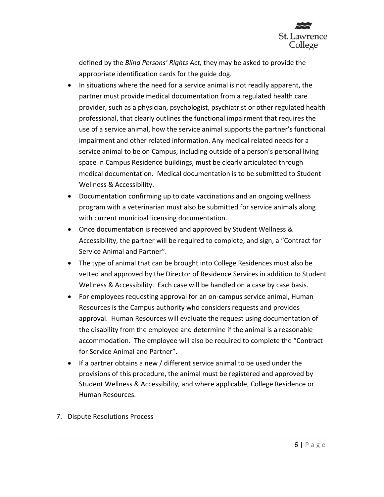

defined by the *Blind Persons' Rights Act,* they may be asked to provide the appropriate identification cards for the guide dog.

- In situations where the need for a service animal is not readily apparent, the partner must provide medical documentation from a regulated health care provider, such as a physician, psychologist, psychiatrist or other regulated health professional, that clearly outlines the functional impairment that requires the use of a service animal, how the service animal supports the partner's functional impairment and other related information. Any medical related needs for a service animal to be on Campus, including outside of a person's personal living space in Campus Residence buildings, must be clearly articulated through medical documentation. Medical documentation is to be submitted to Student Wellness & Accessibility.
- Documentation confirming up to date vaccinations and an ongoing wellness program with a veterinarian must also be submitted for service animals along with current municipal licensing documentation.
- Once documentation is received and approved by Student Wellness & Accessibility, the partner will be required to complete, and sign, a "Contract for Service Animal and Partner".
- The type of animal that can be brought into College Residences must also be vetted and approved by the Director of Residence Services in addition to Student Wellness & Accessibility. Each case will be handled on a case by case basis.
- For employees requesting approval for an on-campus service animal, Human Resources is the Campus authority who considers requests and provides approval. Human Resources will evaluate the request using documentation of the disability from the employee and determine if the animal is a reasonable accommodation. The employee will also be required to complete the "Contract for Service Animal and Partner".
- If a partner obtains a new / different service animal to be used under the provisions of this procedure, the animal must be registered and approved by Student Wellness & Accessibility, and where applicable, College Residence or Human Resources.
- 7. Dispute Resolutions Process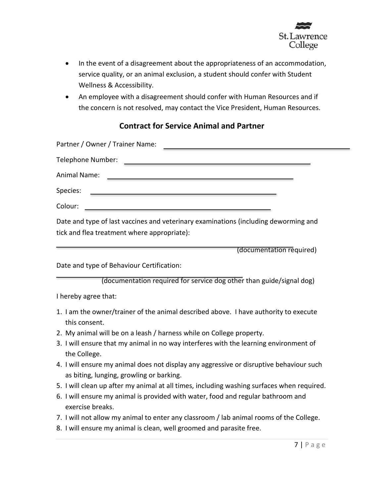

- In the event of a disagreement about the appropriateness of an accommodation, service quality, or an animal exclusion, a student should confer with Student Wellness & Accessibility.
- An employee with a disagreement should confer with Human Resources and if the concern is not resolved, may contact the Vice President, Human Resources.

# **Contract for Service Animal and Partner**

| Partner / Owner / Trainer Name:                                                                                                    |
|------------------------------------------------------------------------------------------------------------------------------------|
| Telephone Number:<br><u> 1980 - John Stein, Amerikaansk politiker (* 1980)</u>                                                     |
| Animal Name:                                                                                                                       |
| Species:<br><u> 1989 - Johann Barbara, martxa al III-lea (h. 1989).</u>                                                            |
| Colour:<br><u> 1989 - Johann Harry Harry Harry Harry Harry Harry Harry Harry Harry Harry Harry Harry Harry Harry Harry Harry</u>   |
| Date and type of last vaccines and veterinary examinations (including deworming and<br>tick and flea treatment where appropriate): |

(documentation required)

Date and type of Behaviour Certification:

(documentation required for service dog other than guide/signal dog)

I hereby agree that:

- 1. I am the owner/trainer of the animal described above. I have authority to execute this consent.
- 2. My animal will be on a leash / harness while on College property.
- 3. I will ensure that my animal in no way interferes with the learning environment of the College.
- 4. I will ensure my animal does not display any aggressive or disruptive behaviour such as biting, lunging, growling or barking.
- 5. I will clean up after my animal at all times, including washing surfaces when required.
- 6. I will ensure my animal is provided with water, food and regular bathroom and exercise breaks.
- 7. I will not allow my animal to enter any classroom / lab animal rooms of the College.
- 8. I will ensure my animal is clean, well groomed and parasite free.